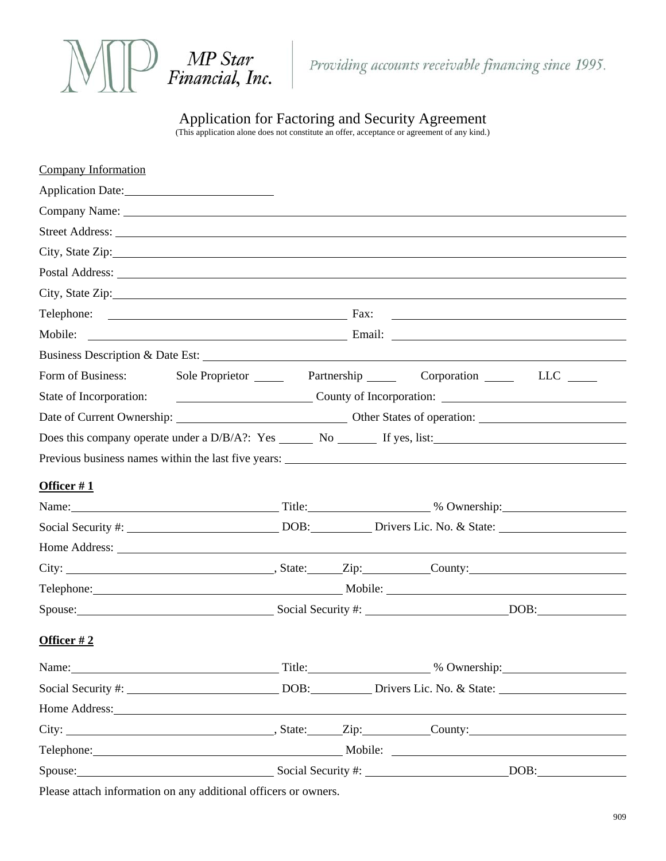

Application for Factoring and Security Agreement

(This application alone does not constitute an offer, acceptance or agreement of any kind.)

| Company Information                                                                                                                                                                                                            |                                                                           |  |  |                                                                                                                                                                                                                                |  |
|--------------------------------------------------------------------------------------------------------------------------------------------------------------------------------------------------------------------------------|---------------------------------------------------------------------------|--|--|--------------------------------------------------------------------------------------------------------------------------------------------------------------------------------------------------------------------------------|--|
|                                                                                                                                                                                                                                |                                                                           |  |  |                                                                                                                                                                                                                                |  |
|                                                                                                                                                                                                                                |                                                                           |  |  |                                                                                                                                                                                                                                |  |
|                                                                                                                                                                                                                                |                                                                           |  |  |                                                                                                                                                                                                                                |  |
|                                                                                                                                                                                                                                |                                                                           |  |  |                                                                                                                                                                                                                                |  |
|                                                                                                                                                                                                                                |                                                                           |  |  | Postal Address: Note that the contract of the contract of the contract of the contract of the contract of the contract of the contract of the contract of the contract of the contract of the contract of the contract of the  |  |
|                                                                                                                                                                                                                                |                                                                           |  |  |                                                                                                                                                                                                                                |  |
|                                                                                                                                                                                                                                |                                                                           |  |  |                                                                                                                                                                                                                                |  |
|                                                                                                                                                                                                                                |                                                                           |  |  |                                                                                                                                                                                                                                |  |
|                                                                                                                                                                                                                                |                                                                           |  |  |                                                                                                                                                                                                                                |  |
|                                                                                                                                                                                                                                |                                                                           |  |  | Form of Business: Sole Proprietor Partnership Corporation LLC LLC                                                                                                                                                              |  |
|                                                                                                                                                                                                                                | State of Incorporation: County of Incorporation: County of Incorporation: |  |  |                                                                                                                                                                                                                                |  |
|                                                                                                                                                                                                                                |                                                                           |  |  |                                                                                                                                                                                                                                |  |
|                                                                                                                                                                                                                                |                                                                           |  |  | Does this company operate under a D/B/A?: Yes _______ No _______ If yes, list:________________________________                                                                                                                 |  |
|                                                                                                                                                                                                                                |                                                                           |  |  | Previous business names within the last five years:                                                                                                                                                                            |  |
| Officer $#1$                                                                                                                                                                                                                   |                                                                           |  |  |                                                                                                                                                                                                                                |  |
|                                                                                                                                                                                                                                |                                                                           |  |  | Name: Mame: Manual Assembly 2014 and 2016 and 2018 and 2018 and 2018 and 2018 and 2019 and 2019 and 2019 and 2019 and 2019 and 2019 and 2019 and 2019 and 2019 and 2019 and 2019 and 2019 and 2019 and 2019 and 2019 and 2019  |  |
|                                                                                                                                                                                                                                |                                                                           |  |  | Social Security #: DOB: DOB: Drivers Lic. No. & State:                                                                                                                                                                         |  |
|                                                                                                                                                                                                                                |                                                                           |  |  |                                                                                                                                                                                                                                |  |
|                                                                                                                                                                                                                                |                                                                           |  |  | City: City: City: Cumber County: County:                                                                                                                                                                                       |  |
|                                                                                                                                                                                                                                |                                                                           |  |  | Telephone: Mobile: Mobile: Mobile: Mobile: Mobile: Mobile: Mobile: Mobile: Mobile: Mobile: Mobile: Mobile: Mobile: Mobile: Mobile: Mobile: Mobile: Mobile: Mobile: Mobile: Mobile: Mobile: Mobile: Mobile: Mobile: Mobile: Mob |  |
| Spouse: DOB: DOB:                                                                                                                                                                                                              |                                                                           |  |  |                                                                                                                                                                                                                                |  |
| Officer $#2$                                                                                                                                                                                                                   |                                                                           |  |  |                                                                                                                                                                                                                                |  |
| Name: Name and the set of the set of the set of the set of the set of the set of the set of the set of the set of the set of the set of the set of the set of the set of the set of the set of the set of the set of the set o |                                                                           |  |  |                                                                                                                                                                                                                                |  |
| Social Security #: DOB: Drivers Lic. No. & State:                                                                                                                                                                              |                                                                           |  |  |                                                                                                                                                                                                                                |  |
| Home Address: New York 1988                                                                                                                                                                                                    |                                                                           |  |  |                                                                                                                                                                                                                                |  |
|                                                                                                                                                                                                                                |                                                                           |  |  | City: City: City: Cunty: County: County:                                                                                                                                                                                       |  |
|                                                                                                                                                                                                                                |                                                                           |  |  | Telephone: Mobile: Mobile: Mobile: Mobile: 2002.                                                                                                                                                                               |  |
| Spouse: DOB: DOB: DOB:                                                                                                                                                                                                         |                                                                           |  |  |                                                                                                                                                                                                                                |  |

Please attach information on any additional officers or owners.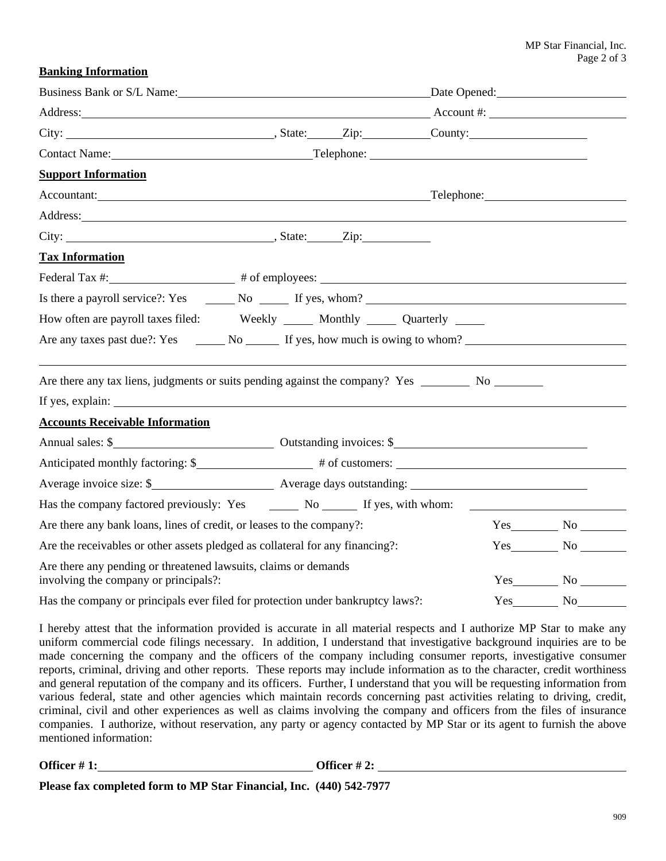**Banking Information**

| Business Bank or S/L Name: Date Opened: Date Opened:                                                                                                                                                                           |  |  |  |  |                        |  |  |
|--------------------------------------------------------------------------------------------------------------------------------------------------------------------------------------------------------------------------------|--|--|--|--|------------------------|--|--|
| Address: Address: Address: Account #: Account #:                                                                                                                                                                               |  |  |  |  |                        |  |  |
| City: City: City: Cummercial County: City: County:                                                                                                                                                                             |  |  |  |  |                        |  |  |
| Contact Name: Telephone: Telephone: Telephone: Telephone: Telephone: Telephone: Telephone: Telephone: Telephone: Telephone: Telephone: Telephone: Telephone: Telephone: Telephone: Telephone: Telephone: Telephone: Telephone: |  |  |  |  |                        |  |  |
| <b>Support Information</b>                                                                                                                                                                                                     |  |  |  |  |                        |  |  |
| Accountant: Telephone: Telephone:                                                                                                                                                                                              |  |  |  |  |                        |  |  |
| Address: Andreas Address: Address: Address: Address: Address: Address: Address: Address: Address: Address: Address: Address: Address: Address: Address: Address: Address: Address: Address: Address: Address: Address: Address |  |  |  |  |                        |  |  |
|                                                                                                                                                                                                                                |  |  |  |  |                        |  |  |
| <b>Tax Information</b>                                                                                                                                                                                                         |  |  |  |  |                        |  |  |
|                                                                                                                                                                                                                                |  |  |  |  |                        |  |  |
|                                                                                                                                                                                                                                |  |  |  |  |                        |  |  |
| How often are payroll taxes filed: Weekly ______ Monthly ______ Quarterly _____                                                                                                                                                |  |  |  |  |                        |  |  |
|                                                                                                                                                                                                                                |  |  |  |  |                        |  |  |
| Are there any tax liens, judgments or suits pending against the company? Yes _________ No ________                                                                                                                             |  |  |  |  |                        |  |  |
|                                                                                                                                                                                                                                |  |  |  |  |                        |  |  |
| <b>Accounts Receivable Information</b>                                                                                                                                                                                         |  |  |  |  |                        |  |  |
| Annual sales: \$                                                                                                                                                                                                               |  |  |  |  |                        |  |  |
| Anticipated monthly factoring: \$<br># of customers:                                                                                                                                                                           |  |  |  |  |                        |  |  |
|                                                                                                                                                                                                                                |  |  |  |  |                        |  |  |
| Has the company factored previously: Yes ________ No _______ If yes, with whom: ___________________                                                                                                                            |  |  |  |  |                        |  |  |
| Are there any bank loans, lines of credit, or leases to the company?:                                                                                                                                                          |  |  |  |  | $Yes$ No $\_\_\_\_\$   |  |  |
| Are the receivables or other assets pledged as collateral for any financing?:                                                                                                                                                  |  |  |  |  | $Yes$ No $\qquad$      |  |  |
| Are there any pending or threatened lawsuits, claims or demands<br>involving the company or principals?:                                                                                                                       |  |  |  |  | $Yes$ No $\_\_\_\_\_\$ |  |  |
| Has the company or principals ever filed for protection under bankruptcy laws?:                                                                                                                                                |  |  |  |  | $Yes$ No               |  |  |

I hereby attest that the information provided is accurate in all material respects and I authorize MP Star to make any uniform commercial code filings necessary. In addition, I understand that investigative background inquiries are to be made concerning the company and the officers of the company including consumer reports, investigative consumer reports, criminal, driving and other reports. These reports may include information as to the character, credit worthiness and general reputation of the company and its officers. Further, I understand that you will be requesting information from various federal, state and other agencies which maintain records concerning past activities relating to driving, credit, criminal, civil and other experiences as well as claims involving the company and officers from the files of insurance companies. I authorize, without reservation, any party or agency contacted by MP Star or its agent to furnish the above mentioned information:

**Officer # 1: Officer # 2:**

| Officer $#2$ : |  |  |
|----------------|--|--|
|----------------|--|--|

**Please fax completed form to MP Star Financial, Inc. (440) 542-7977**